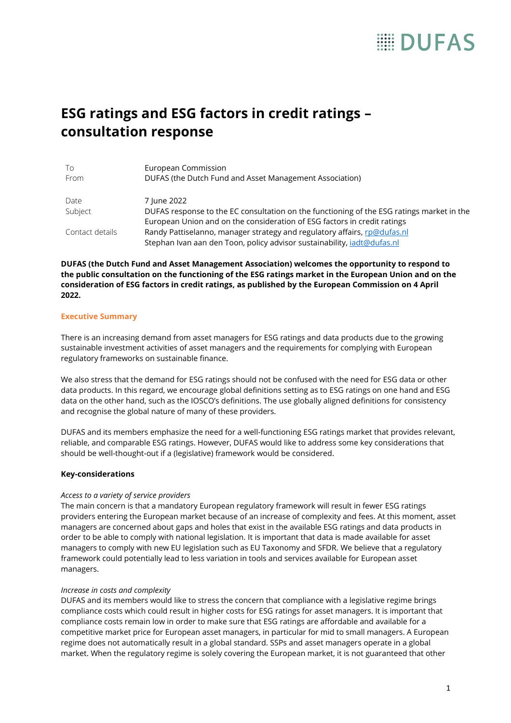# **EDUFAS**

# **ESG ratings and ESG factors in credit ratings – consultation response**

| To<br>From      | European Commission<br>DUFAS (the Dutch Fund and Asset Management Association)            |
|-----------------|-------------------------------------------------------------------------------------------|
| Date            | 7 June 2022                                                                               |
| Subject         | DUFAS response to the EC consultation on the functioning of the ESG ratings market in the |
|                 | European Union and on the consideration of ESG factors in credit ratings                  |
| Contact details | Randy Pattiselanno, manager strategy and regulatory affairs, rp@dufas.nl                  |
|                 | Stephan Ivan aan den Toon, policy advisor sustainability, jadt@dufas.nl                   |

**DUFAS (the Dutch Fund and Asset Management Association) welcomes the opportunity to respond to the public consultation on the functioning of the ESG ratings market in the European Union and on the consideration of ESG factors in credit ratings, as published by the European Commission on 4 April 2022.** 

#### **Executive Summary**

There is an increasing demand from asset managers for ESG ratings and data products due to the growing sustainable investment activities of asset managers and the requirements for complying with European regulatory frameworks on sustainable finance.

We also stress that the demand for ESG ratings should not be confused with the need for ESG data or other data products. In this regard, we encourage global definitions setting as to ESG ratings on one hand and ESG data on the other hand, such as the IOSCO's definitions. The use globally aligned definitions for consistency and recognise the global nature of many of these providers.

DUFAS and its members emphasize the need for a well-functioning ESG ratings market that provides relevant, reliable, and comparable ESG ratings. However, DUFAS would like to address some key considerations that should be well-thought-out if a (legislative) framework would be considered.

# **Key-considerations**

# *Access to a variety of service providers*

The main concern is that a mandatory European regulatory framework will result in fewer ESG ratings providers entering the European market because of an increase of complexity and fees. At this moment, asset managers are concerned about gaps and holes that exist in the available ESG ratings and data products in order to be able to comply with national legislation. It is important that data is made available for asset managers to comply with new EU legislation such as EU Taxonomy and SFDR. We believe that a regulatory framework could potentially lead to less variation in tools and services available for European asset managers.

#### *Increase in costs and complexity*

DUFAS and its members would like to stress the concern that compliance with a legislative regime brings compliance costs which could result in higher costs for ESG ratings for asset managers. It is important that compliance costs remain low in order to make sure that ESG ratings are affordable and available for a competitive market price for European asset managers, in particular for mid to small managers. A European regime does not automatically result in a global standard. SSPs and asset managers operate in a global market. When the regulatory regime is solely covering the European market, it is not guaranteed that other